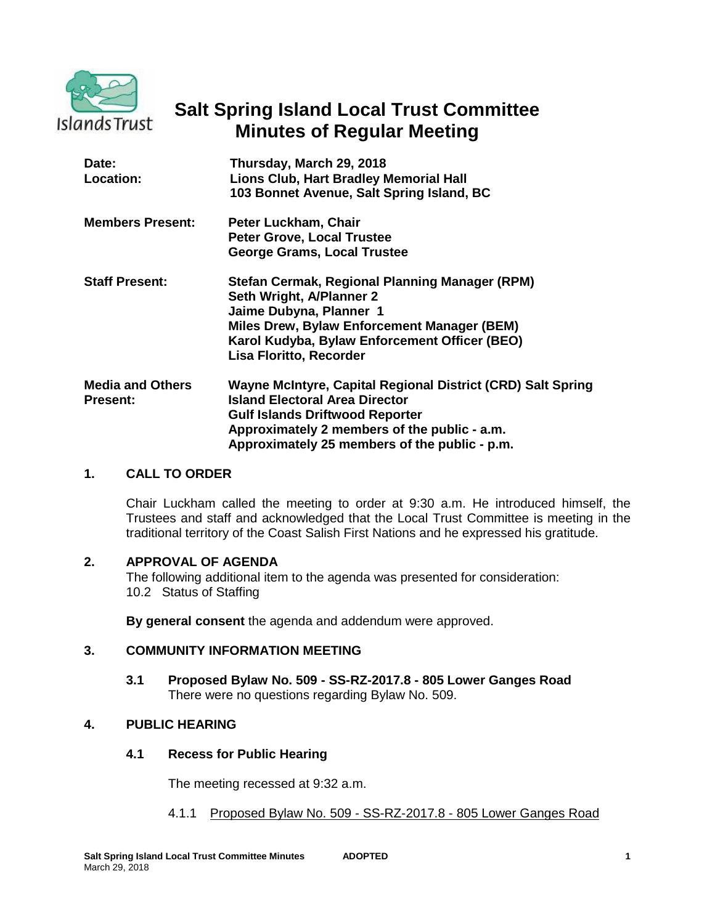

# **Salt Spring Island Local Trust Committee Minutes of Regular Meeting**

| Date:<br>Location:                         | Thursday, March 29, 2018<br><b>Lions Club, Hart Bradley Memorial Hall</b><br>103 Bonnet Avenue, Salt Spring Island, BC                                                                                                                          |
|--------------------------------------------|-------------------------------------------------------------------------------------------------------------------------------------------------------------------------------------------------------------------------------------------------|
| <b>Members Present:</b>                    | Peter Luckham, Chair<br><b>Peter Grove, Local Trustee</b><br>George Grams, Local Trustee                                                                                                                                                        |
| <b>Staff Present:</b>                      | Stefan Cermak, Regional Planning Manager (RPM)<br>Seth Wright, A/Planner 2<br>Jaime Dubyna, Planner 1<br>Miles Drew, Bylaw Enforcement Manager (BEM)<br>Karol Kudyba, Bylaw Enforcement Officer (BEO)<br>Lisa Floritto, Recorder                |
| <b>Media and Others</b><br><b>Present:</b> | Wayne McIntyre, Capital Regional District (CRD) Salt Spring<br><b>Island Electoral Area Director</b><br><b>Gulf Islands Driftwood Reporter</b><br>Approximately 2 members of the public - a.m.<br>Approximately 25 members of the public - p.m. |

### **1. CALL TO ORDER**

Chair Luckham called the meeting to order at 9:30 a.m. He introduced himself, the Trustees and staff and acknowledged that the Local Trust Committee is meeting in the traditional territory of the Coast Salish First Nations and he expressed his gratitude.

#### **2. APPROVAL OF AGENDA**

The following additional item to the agenda was presented for consideration: 10.2 Status of Staffing

**By general consent** the agenda and addendum were approved.

### **3. COMMUNITY INFORMATION MEETING**

**3.1 Proposed Bylaw No. 509 - SS-RZ-2017.8 - 805 Lower Ganges Road** There were no questions regarding Bylaw No. 509.

### **4. PUBLIC HEARING**

### **4.1 Recess for Public Hearing**

The meeting recessed at 9:32 a.m.

4.1.1 Proposed Bylaw No. 509 - SS-RZ-2017.8 - 805 Lower Ganges Road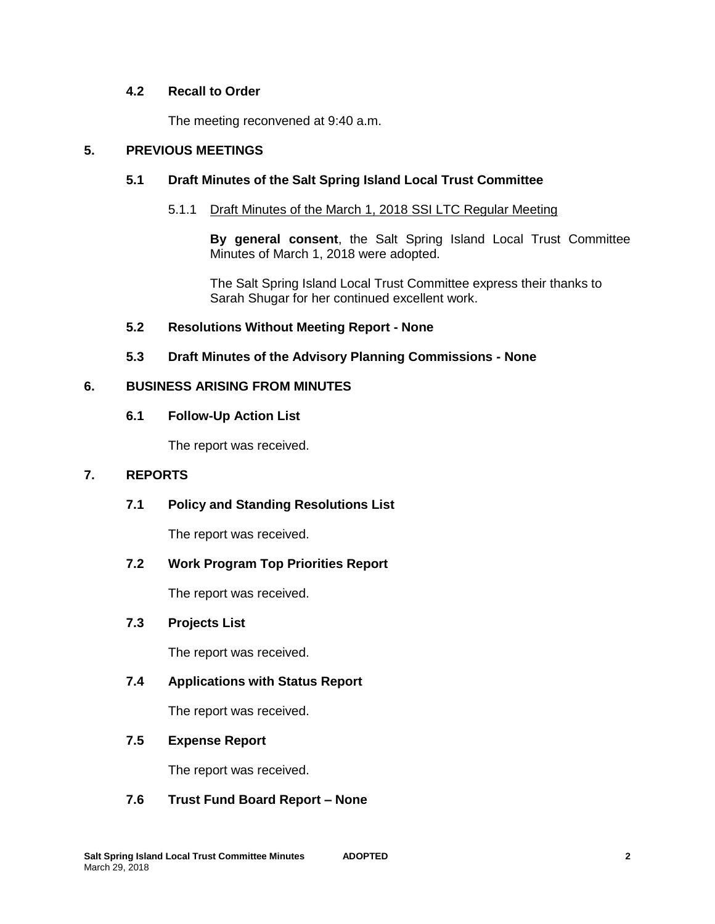# **4.2 Recall to Order**

The meeting reconvened at 9:40 a.m.

# **5. PREVIOUS MEETINGS**

# **5.1 Draft Minutes of the Salt Spring Island Local Trust Committee**

# 5.1.1 Draft Minutes of the March 1, 2018 SSI LTC Regular Meeting

**By general consent**, the Salt Spring Island Local Trust Committee Minutes of March 1, 2018 were adopted.

The Salt Spring Island Local Trust Committee express their thanks to Sarah Shugar for her continued excellent work.

# **5.2 Resolutions Without Meeting Report - None**

# **5.3 Draft Minutes of the Advisory Planning Commissions - None**

### **6. BUSINESS ARISING FROM MINUTES**

### **6.1 Follow-Up Action List**

The report was received.

### **7. REPORTS**

**7.1 Policy and Standing Resolutions List**

The report was received.

# **7.2 Work Program Top Priorities Report**

The report was received.

# **7.3 Projects List**

The report was received.

# **7.4 Applications with Status Report**

The report was received.

# **7.5 Expense Report**

The report was received.

### **7.6 Trust Fund Board Report – None**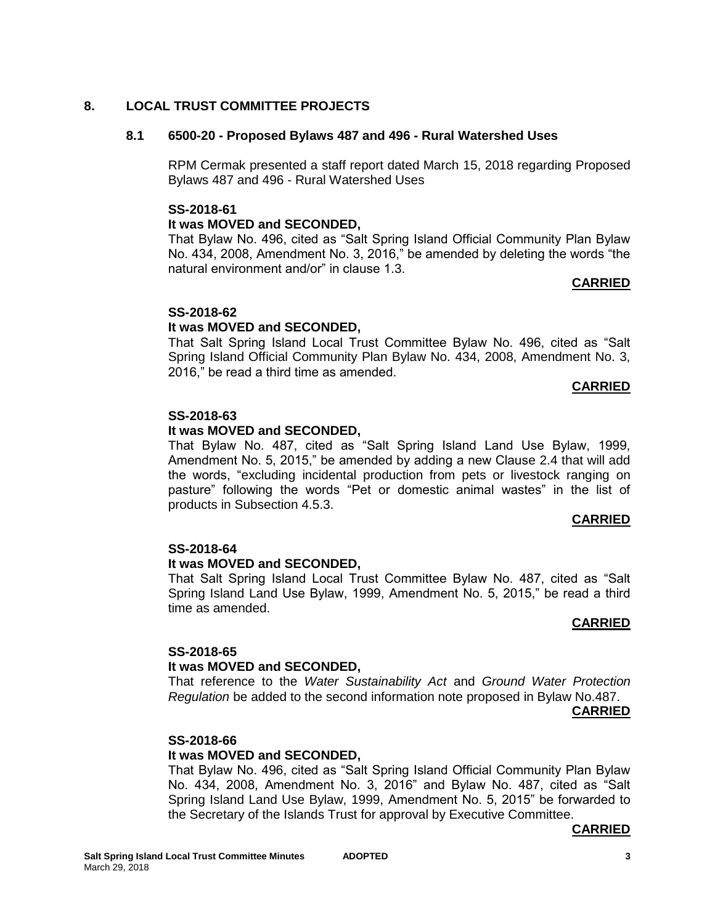### **8. LOCAL TRUST COMMITTEE PROJECTS**

### **8.1 6500-20 - Proposed Bylaws 487 and 496 - Rural Watershed Uses**

RPM Cermak presented a staff report dated March 15, 2018 regarding Proposed Bylaws 487 and 496 - Rural Watershed Uses

### **SS-2018-61**

### **It was MOVED and SECONDED,**

That Bylaw No. 496, cited as "Salt Spring Island Official Community Plan Bylaw No. 434, 2008, Amendment No. 3, 2016," be amended by deleting the words "the natural environment and/or" in clause 1.3.

#### **CARRIED**

### **SS-2018-62**

### **It was MOVED and SECONDED,**

That Salt Spring Island Local Trust Committee Bylaw No. 496, cited as "Salt Spring Island Official Community Plan Bylaw No. 434, 2008, Amendment No. 3, 2016," be read a third time as amended.

#### **CARRIED**

### **SS-2018-63**

### **It was MOVED and SECONDED,**

That Bylaw No. 487, cited as "Salt Spring Island Land Use Bylaw, 1999, Amendment No. 5, 2015," be amended by adding a new Clause 2.4 that will add the words, "excluding incidental production from pets or livestock ranging on pasture" following the words "Pet or domestic animal wastes" in the list of products in Subsection 4.5.3.

#### **CARRIED**

#### **SS-2018-64**

#### **It was MOVED and SECONDED,**

That Salt Spring Island Local Trust Committee Bylaw No. 487, cited as "Salt Spring Island Land Use Bylaw, 1999, Amendment No. 5, 2015," be read a third time as amended.

#### **CARRIED**

### **SS-2018-65**

#### **It was MOVED and SECONDED,**

That reference to the *Water Sustainability Act* and *Ground Water Protection Regulation* be added to the second information note proposed in Bylaw No.487.

**CARRIED**

#### **SS-2018-66**

### **It was MOVED and SECONDED,**

That Bylaw No. 496, cited as "Salt Spring Island Official Community Plan Bylaw No. 434, 2008, Amendment No. 3, 2016" and Bylaw No. 487, cited as "Salt Spring Island Land Use Bylaw, 1999, Amendment No. 5, 2015" be forwarded to the Secretary of the Islands Trust for approval by Executive Committee.

#### **CARRIED**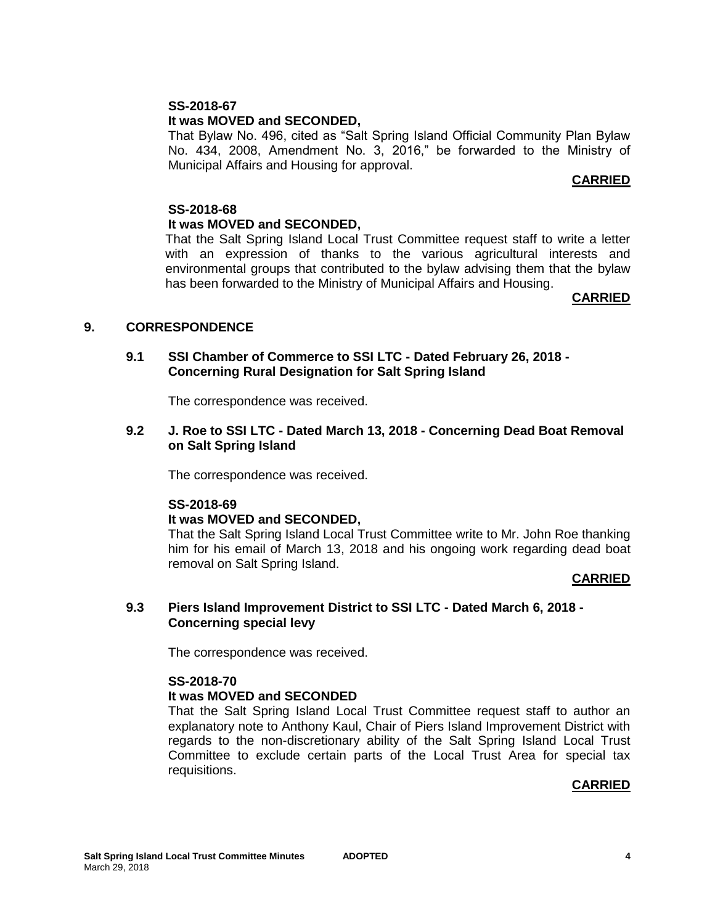### **SS-2018-67**

### **It was MOVED and SECONDED,**

That Bylaw No. 496, cited as "Salt Spring Island Official Community Plan Bylaw No. 434, 2008, Amendment No. 3, 2016," be forwarded to the Ministry of Municipal Affairs and Housing for approval.

### **CARRIED**

#### **SS-2018-68 It was MOVED and SECONDED,**

That the Salt Spring Island Local Trust Committee request staff to write a letter with an expression of thanks to the various agricultural interests and environmental groups that contributed to the bylaw advising them that the bylaw has been forwarded to the Ministry of Municipal Affairs and Housing.

#### **CARRIED**

### **9. CORRESPONDENCE**

### **9.1 SSI Chamber of Commerce to SSI LTC - Dated February 26, 2018 - Concerning Rural Designation for Salt Spring Island**

The correspondence was received.

### **9.2 J. Roe to SSI LTC - Dated March 13, 2018 - Concerning Dead Boat Removal on Salt Spring Island**

The correspondence was received.

#### **SS-2018-69**

#### **It was MOVED and SECONDED,**

That the Salt Spring Island Local Trust Committee write to Mr. John Roe thanking him for his email of March 13, 2018 and his ongoing work regarding dead boat removal on Salt Spring Island.

#### **CARRIED**

#### **9.3 Piers Island Improvement District to SSI LTC - Dated March 6, 2018 - Concerning special levy**

The correspondence was received.

#### **SS-2018-70**

#### **It was MOVED and SECONDED**

That the Salt Spring Island Local Trust Committee request staff to author an explanatory note to Anthony Kaul, Chair of Piers Island Improvement District with regards to the non-discretionary ability of the Salt Spring Island Local Trust Committee to exclude certain parts of the Local Trust Area for special tax requisitions.

#### **CARRIED**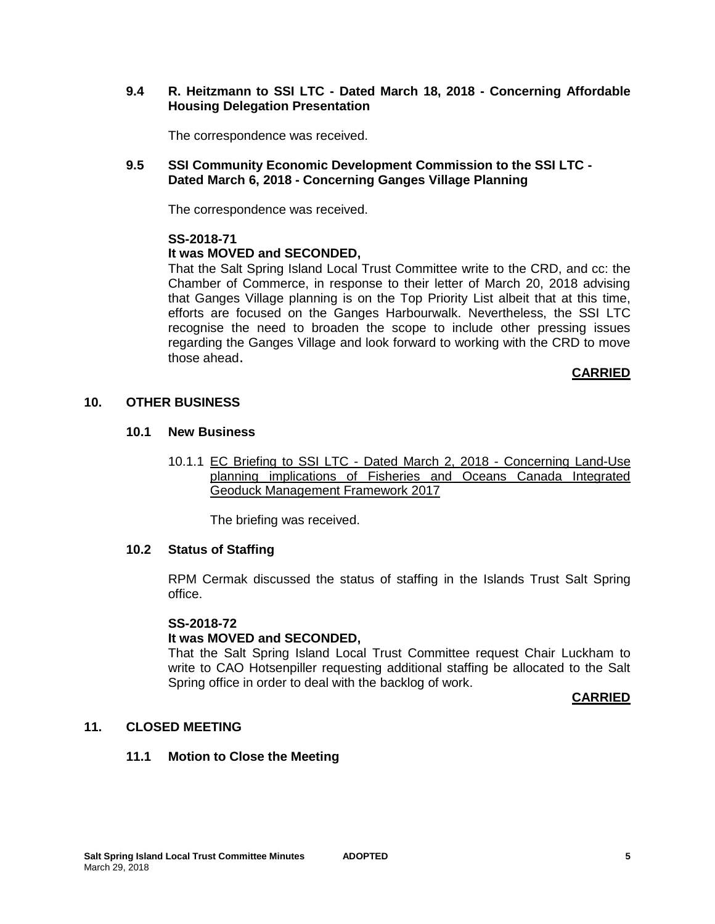### **9.4 R. Heitzmann to SSI LTC - Dated March 18, 2018 - Concerning Affordable Housing Delegation Presentation**

The correspondence was received.

### **9.5 SSI Community Economic Development Commission to the SSI LTC - Dated March 6, 2018 - Concerning Ganges Village Planning**

The correspondence was received.

#### **SS-2018-71**

### **It was MOVED and SECONDED,**

That the Salt Spring Island Local Trust Committee write to the CRD, and cc: the Chamber of Commerce, in response to their letter of March 20, 2018 advising that Ganges Village planning is on the Top Priority List albeit that at this time, efforts are focused on the Ganges Harbourwalk. Nevertheless, the SSI LTC recognise the need to broaden the scope to include other pressing issues regarding the Ganges Village and look forward to working with the CRD to move those ahead.

### **CARRIED**

### **10. OTHER BUSINESS**

#### **10.1 New Business**

10.1.1 EC Briefing to SSI LTC - Dated March 2, 2018 - Concerning Land-Use planning implications of Fisheries and Oceans Canada Integrated Geoduck Management Framework 2017

The briefing was received.

#### **10.2 Status of Staffing**

RPM Cermak discussed the status of staffing in the Islands Trust Salt Spring office.

#### **SS-2018-72**

### **It was MOVED and SECONDED,**

That the Salt Spring Island Local Trust Committee request Chair Luckham to write to CAO Hotsenpiller requesting additional staffing be allocated to the Salt Spring office in order to deal with the backlog of work.

#### **CARRIED**

### **11. CLOSED MEETING**

#### **11.1 Motion to Close the Meeting**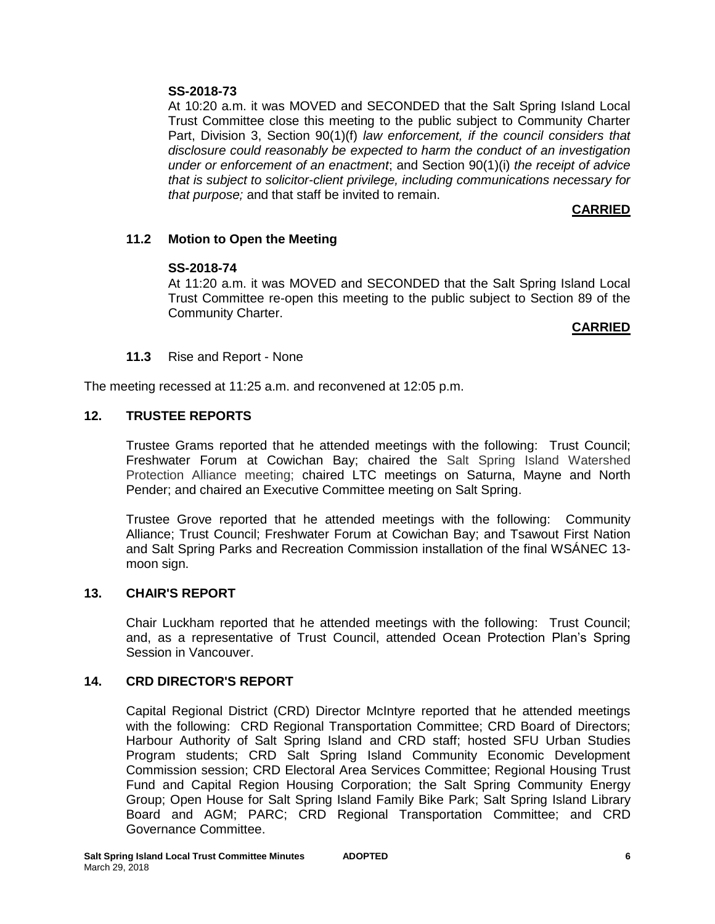# **SS-2018-73**

At 10:20 a.m. it was MOVED and SECONDED that the Salt Spring Island Local Trust Committee close this meeting to the public subject to Community Charter Part, Division 3, Section 90(1)(f) *law enforcement, if the council considers that disclosure could reasonably be expected to harm the conduct of an investigation under or enforcement of an enactment*; and Section 90(1)(i) *the receipt of advice that is subject to solicitor-client privilege, including communications necessary for that purpose;* and that staff be invited to remain.

# **CARRIED**

# **11.2 Motion to Open the Meeting**

### **SS-2018-74**

At 11:20 a.m. it was MOVED and SECONDED that the Salt Spring Island Local Trust Committee re-open this meeting to the public subject to Section 89 of the Community Charter.

### **CARRIED**

### **11.3** Rise and Report - None

The meeting recessed at 11:25 a.m. and reconvened at 12:05 p.m.

# **12. TRUSTEE REPORTS**

Trustee Grams reported that he attended meetings with the following: Trust Council; Freshwater Forum at Cowichan Bay; chaired the Salt Spring Island Watershed Protection Alliance meeting; chaired LTC meetings on Saturna, Mayne and North Pender; and chaired an Executive Committee meeting on Salt Spring.

Trustee Grove reported that he attended meetings with the following: Community Alliance; Trust Council; Freshwater Forum at Cowichan Bay; and Tsawout First Nation and Salt Spring Parks and Recreation Commission installation of the final WSÁNEC 13 moon sign.

### **13. CHAIR'S REPORT**

Chair Luckham reported that he attended meetings with the following: Trust Council; and, as a representative of Trust Council, attended Ocean Protection Plan's Spring Session in Vancouver.

### **14. CRD DIRECTOR'S REPORT**

Capital Regional District (CRD) Director McIntyre reported that he attended meetings with the following: CRD Regional Transportation Committee; CRD Board of Directors; Harbour Authority of Salt Spring Island and CRD staff; hosted SFU Urban Studies Program students; CRD Salt Spring Island Community Economic Development Commission session; CRD Electoral Area Services Committee; Regional Housing Trust Fund and Capital Region Housing Corporation; the Salt Spring Community Energy Group; Open House for Salt Spring Island Family Bike Park; Salt Spring Island Library Board and AGM; PARC; CRD Regional Transportation Committee; and CRD Governance Committee.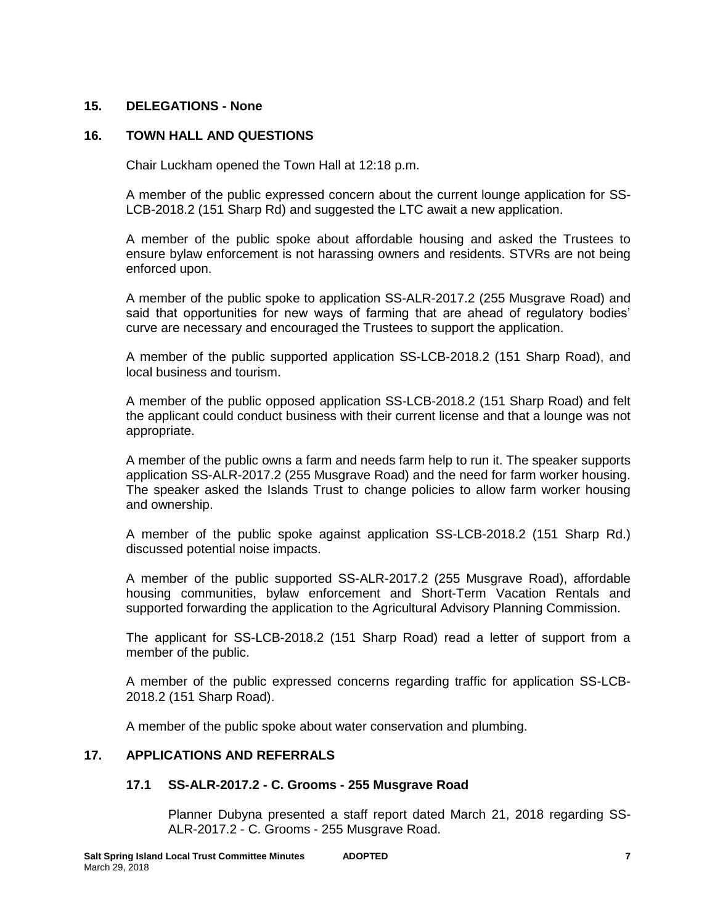### **15. DELEGATIONS - None**

### **16. TOWN HALL AND QUESTIONS**

Chair Luckham opened the Town Hall at 12:18 p.m.

A member of the public expressed concern about the current lounge application for SS-LCB-2018.2 (151 Sharp Rd) and suggested the LTC await a new application.

A member of the public spoke about affordable housing and asked the Trustees to ensure bylaw enforcement is not harassing owners and residents. STVRs are not being enforced upon.

A member of the public spoke to application SS-ALR-2017.2 (255 Musgrave Road) and said that opportunities for new ways of farming that are ahead of regulatory bodies' curve are necessary and encouraged the Trustees to support the application.

A member of the public supported application SS-LCB-2018.2 (151 Sharp Road), and local business and tourism.

A member of the public opposed application SS-LCB-2018.2 (151 Sharp Road) and felt the applicant could conduct business with their current license and that a lounge was not appropriate.

A member of the public owns a farm and needs farm help to run it. The speaker supports application SS-ALR-2017.2 (255 Musgrave Road) and the need for farm worker housing. The speaker asked the Islands Trust to change policies to allow farm worker housing and ownership.

A member of the public spoke against application SS-LCB-2018.2 (151 Sharp Rd.) discussed potential noise impacts.

A member of the public supported SS-ALR-2017.2 (255 Musgrave Road), affordable housing communities, bylaw enforcement and Short-Term Vacation Rentals and supported forwarding the application to the Agricultural Advisory Planning Commission.

The applicant for SS-LCB-2018.2 (151 Sharp Road) read a letter of support from a member of the public.

A member of the public expressed concerns regarding traffic for application SS-LCB-2018.2 (151 Sharp Road).

A member of the public spoke about water conservation and plumbing.

### **17. APPLICATIONS AND REFERRALS**

#### **17.1 SS-ALR-2017.2 - C. Grooms - 255 Musgrave Road**

Planner Dubyna presented a staff report dated March 21, 2018 regarding SS-ALR-2017.2 - C. Grooms - 255 Musgrave Road.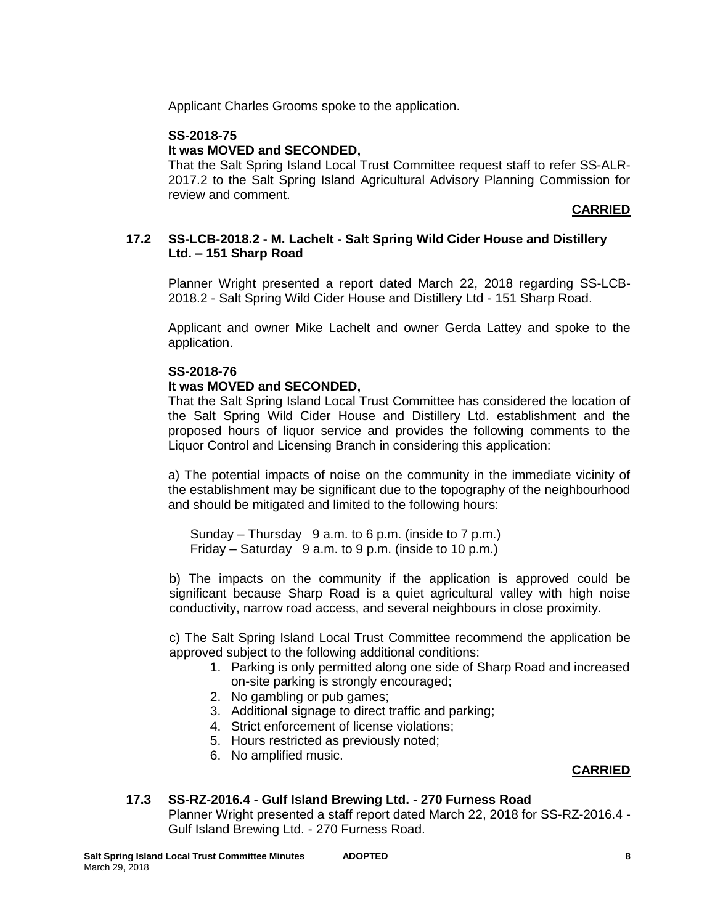Applicant Charles Grooms spoke to the application.

# **SS-2018-75**

# **It was MOVED and SECONDED,**

That the Salt Spring Island Local Trust Committee request staff to refer SS-ALR-2017.2 to the Salt Spring Island Agricultural Advisory Planning Commission for review and comment.

### **CARRIED**

### **17.2 SS-LCB-2018.2 - M. Lachelt - Salt Spring Wild Cider House and Distillery Ltd. – 151 Sharp Road**

Planner Wright presented a report dated March 22, 2018 regarding SS-LCB-2018.2 - Salt Spring Wild Cider House and Distillery Ltd - 151 Sharp Road.

Applicant and owner Mike Lachelt and owner Gerda Lattey and spoke to the application.

### **SS-2018-76**

### **It was MOVED and SECONDED,**

That the Salt Spring Island Local Trust Committee has considered the location of the Salt Spring Wild Cider House and Distillery Ltd. establishment and the proposed hours of liquor service and provides the following comments to the Liquor Control and Licensing Branch in considering this application:

a) The potential impacts of noise on the community in the immediate vicinity of the establishment may be significant due to the topography of the neighbourhood and should be mitigated and limited to the following hours:

Sunday – Thursday 9 a.m. to 6 p.m. (inside to 7 p.m.) Friday – Saturday 9 a.m. to 9 p.m. (inside to 10 p.m.)

b) The impacts on the community if the application is approved could be significant because Sharp Road is a quiet agricultural valley with high noise conductivity, narrow road access, and several neighbours in close proximity.

c) The Salt Spring Island Local Trust Committee recommend the application be approved subject to the following additional conditions:

- 1. Parking is only permitted along one side of Sharp Road and increased on-site parking is strongly encouraged;
- 2. No gambling or pub games;
- 3. Additional signage to direct traffic and parking;
- 4. Strict enforcement of license violations;
- 5. Hours restricted as previously noted;
- 6. No amplified music.

### **CARRIED**

# **17.3 SS-RZ-2016.4 - Gulf Island Brewing Ltd. - 270 Furness Road**

Planner Wright presented a staff report dated March 22, 2018 for SS-RZ-2016.4 - Gulf Island Brewing Ltd. - 270 Furness Road.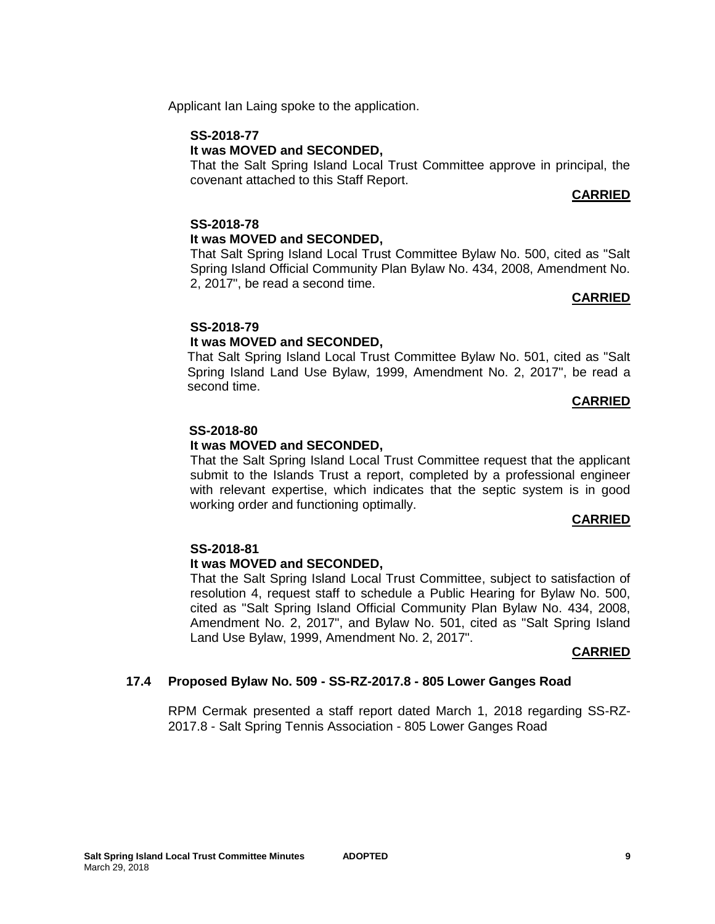Applicant Ian Laing spoke to the application.

# **SS-2018-77**

# **It was MOVED and SECONDED,**

That the Salt Spring Island Local Trust Committee approve in principal, the covenant attached to this Staff Report.

# **CARRIED**

# **SS-2018-78**

# **It was MOVED and SECONDED,**

That Salt Spring Island Local Trust Committee Bylaw No. 500, cited as "Salt Spring Island Official Community Plan Bylaw No. 434, 2008, Amendment No. 2, 2017", be read a second time.

### **CARRIED**

### **SS-2018-79**

# **It was MOVED and SECONDED,**

That Salt Spring Island Local Trust Committee Bylaw No. 501, cited as "Salt Spring Island Land Use Bylaw, 1999, Amendment No. 2, 2017", be read a second time.

### **CARRIED**

### **SS-2018-80**

### **It was MOVED and SECONDED,**

That the Salt Spring Island Local Trust Committee request that the applicant submit to the Islands Trust a report, completed by a professional engineer with relevant expertise, which indicates that the septic system is in good working order and functioning optimally.

### **CARRIED**

### **SS-2018-81**

### **It was MOVED and SECONDED,**

That the Salt Spring Island Local Trust Committee, subject to satisfaction of resolution 4, request staff to schedule a Public Hearing for Bylaw No. 500, cited as "Salt Spring Island Official Community Plan Bylaw No. 434, 2008, Amendment No. 2, 2017", and Bylaw No. 501, cited as "Salt Spring Island Land Use Bylaw, 1999, Amendment No. 2, 2017".

#### **CARRIED**

### **17.4 Proposed Bylaw No. 509 - SS-RZ-2017.8 - 805 Lower Ganges Road**

RPM Cermak presented a staff report dated March 1, 2018 regarding SS-RZ-2017.8 - Salt Spring Tennis Association - 805 Lower Ganges Road